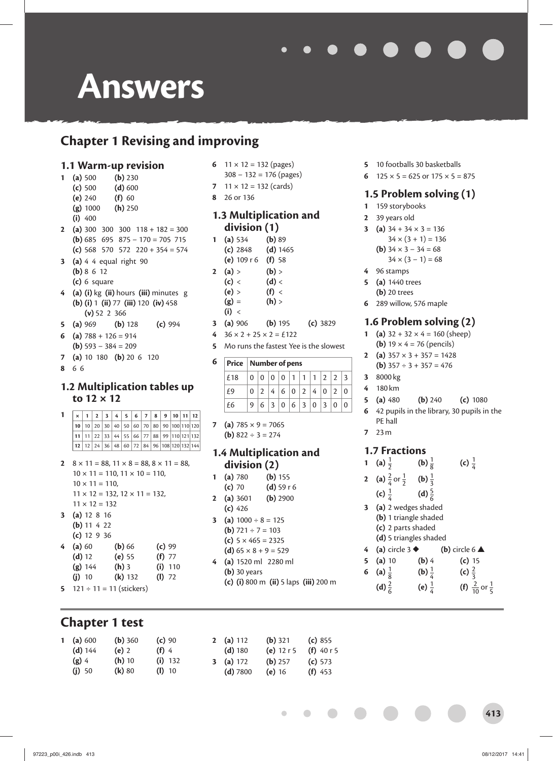# **Chapter 1 Revising and improving**

#### **1.1 Warm-up revision**

- **1 (a)** 500 **(b)** 230 **(c)** 500 **(d)** 600
	- **(e)** 240 **(f)** 60
	- **(g)** 1000 **(h)** 250
	- **(i)** 400
- **2** (a) 300 300 300 118 + 182 = 300 **(b)** 685 695 875 − 170 = 705 715 **(c)** 568 570 572 220 + 354 = 574
- **3 (a)** 4 4 equal right 90 **(b)** 8 6 12 **(c)** 6 square
- **4 (a) (i)** kg **(ii)** hours **(iii)** minutes g **(b) (i)** 1 **(ii)** 77 **(iii)** 120 **(iv)** 458 **(v)** 52 2 366
- **5 (a)** 969 **(b)** 128 **(c)** 994
- **6** (a)  $788 + 126 = 914$ **(b)** 593 − 384 = 209
- **7 (a)** 10 180 **(b)** 20 6 120
- **8** 6 6

#### **1.2 Multiplication tables up to 12 × 12**

  $\boxed{\times}$  1  $\boxed{2}$  3 4 5 6 7 8 9 10 11 12 10 20 30 40 50 60 70 80 90 100 110 120 11 22 33 44 55 66 77 88 99 110 121 132 12 24 36 48 60 72 84 96 108 120 132 144

**2**  $8 \times 11 = 88, 11 \times 8 = 88, 8 \times 11 = 88$  $10 \times 11 = 110$ ,  $11 \times 10 = 110$ .  $10 \times 11 = 110$ ,  $11 \times 12 = 132$ ,  $12 \times 11 = 132$ ,  $11 \times 12 = 132$ 

- **3 (a)** 12 8 16 **(b)** 11 4 22
- **(c)** 12 9 36 **4 (a)** 60 **(b)** 66 **(c)** 99 **(d)** 12 **(e)** 55 **(f)** 77 **(g)** 144 **(h)** 3 **(i)** 110
- **(j)** 10 **(k)** 132 **(l)** 72 **5**  $121 \div 11 = 11$  (stickers)

# **Chapter 1 test**

- **6**  $11 \times 12 = 132$  (pages) 308 − 132 = 176 (pages)
- **7**  $11 \times 12 = 132$  (cards)
- **8** 26 or 136

#### **1.3 Multiplication and division (1)**

- **1 (a)** 534 **(b)** 89 **(c)** 2848 **(d)** 1465
	- **(e)** 109 r 6 **(f)** 58
- **2** (a) > (b) >
	- $(c) <$   $(d) <$
	- $(e) > (f) <$
	- $(g) = (h)$
	- **(i)** <
- **3 (a)** 906 **(b)** 195 **(c)** 3829
- **4** 36 × 2 + 25 × 2 = £122
- **5** Mo runs the fastest Yee is the slowest

#### **6 Price Number of pens**

| $\lceil$ £18 $\lceil$ 0 $\lceil$ 0 $\lceil$ 0 $\lceil$ 0 $\lceil$ 1 $\lceil$ 1 $\lceil$ 1 $\lceil$ 2 $\lceil$ 2 $\lceil$ 3 |                     |  |  |  |  |
|----------------------------------------------------------------------------------------------------------------------------|---------------------|--|--|--|--|
| E9                                                                                                                         | 0 2 4 6 0 2 4 0 2 0 |  |  |  |  |
| £6                                                                                                                         | 9 6 3 0 6 3 0 3 00  |  |  |  |  |

- **7** (a)  $785 \times 9 = 7065$ 
	- **(b)**  $822 \div 3 = 274$

#### **1.4 Multiplication and division (2)**

- **1 (a)** 780 **(b)** 155 **(c)** 70 **(d)** 59 r 6
- **2 (a)** 3601 **(b)** 2900 **(c)** 426
- **3** (a)  $1000 \div 8 = 125$
- **(b)**  $721 \div 7 = 103$
- **(c)** 5 × 465 = 2325
- **(d)**  $65 \times 8 + 9 = 529$ **4 (a)** 1520 ml 2280 ml
- **(b)** 30 years
	- **(c) (i)** 800 m **(ii)** 5 laps **(iii)** 200 m

 $\overline{\phantom{a}}$ 

- **5** 10 footballs 30 basketballs
- **6**  $125 \times 5 = 625$  or  $175 \times 5 = 875$

### **1.5 Problem solving (1)**

- **1** 159 storybooks
- **2** 39 years old
- **3** (a)  $34 + 34 \times 3 = 136$ 
	- $34 \times (3 + 1) = 136$
	- **(b)**  $34 \times 3 34 = 68$  $34 \times (3 - 1) = 68$
- **4** 96 stamps
- **5 (a)** 1440 trees
- **(b)** 20 trees
- **6** 289 willow, 576 maple

#### **1.6 Problem solving (2)**

- **1** (a)  $32 + 32 \times 4 = 160$  (sheep) **(b)**  $19 \times 4 = 76$  (pencils)
- **2** (a)  $357 \times 3 + 357 = 1428$ 
	- **(b)**  $357 \div 3 + 357 = 476$
- **3** 8000 kg **4** 180 km
- **5 (a)** 480 **(b)** 240 **(c)** 1080
- **6** 42 pupils in the library, 30 pupils in the PE hall
- **7** 23 m

#### **1.7 Fractions**

| $\mathbf{1}$            | (a) $\frac{1}{2}$                  | (b) $\frac{1}{8}$ | (c) $\frac{1}{4}$                   |  |  |  |  |  |
|-------------------------|------------------------------------|-------------------|-------------------------------------|--|--|--|--|--|
| $\overline{2}$          | (a) $\frac{2}{4}$ or $\frac{1}{2}$ | (b) $\frac{1}{3}$ |                                     |  |  |  |  |  |
|                         | (c) $\frac{1}{4}$                  | (d) $\frac{5}{6}$ |                                     |  |  |  |  |  |
| $\overline{\mathbf{3}}$ | (a) 2 wedges shaded                |                   |                                     |  |  |  |  |  |
|                         | (b) 1 triangle shaded              |                   |                                     |  |  |  |  |  |
|                         | (c) 2 parts shaded                 |                   |                                     |  |  |  |  |  |
|                         | (d) 5 triangles shaded             |                   |                                     |  |  |  |  |  |
| 4                       | (a) circle $3 \blacklozenge$       |                   | (b) circle $6 \triangle$            |  |  |  |  |  |
| 5                       | $(a)$ 10                           | $(b)$ 4           | (c) 15                              |  |  |  |  |  |
| 6                       | (a) $\frac{1}{8}$                  | (b) $\frac{1}{4}$ | (c) $\frac{2}{3}$                   |  |  |  |  |  |
|                         | (d) $\frac{2}{6}$                  | (e) $\frac{1}{4}$ | (f) $\frac{2}{10}$ or $\frac{1}{5}$ |  |  |  |  |  |

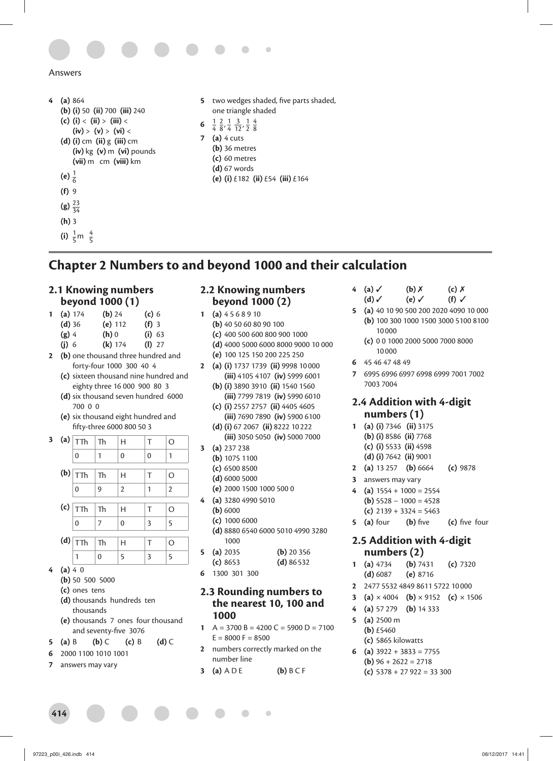

```
4 (a) 864 
(b) (i) 50 (ii) 700 (iii) 240 
(c) (i) < (ii) > (iii) < 
     (iv) > (v) > (vi) < 
(d) (i) cm (ii) g (iii) cm
     (iv) kg (v) m (vi) pounds
     (vii) m cm (viii) km 
 (e) \frac{1}{6}(f) 9 
 (g) \frac{23}{34}(h) 3
 (i) \frac{1}{5}m \frac{4}{5}
```
- **5** two wedges shaded, five parts shaded, one triangle shaded **6**  $\frac{1}{4}$   $\frac{2}{8}$ ,  $\frac{1}{4}$   $\frac{3}{12}$ ,  $\frac{1}{2}$   $\frac{4}{8}$ **7 (a)** 4 cuts **(b)** 36 metres
	- **(c)** 60 metres
	- **(d)** 67 words
	- **(e) (i)** £182 **(ii)** £54 **(iii)** £164

# **Chapter 2 Numbers to and beyond 1000 and their calculation**

#### **2.1 Knowing numbers beyond 1000 (1)**

| 1 | (a) 174  | ( <b>b</b> ) 24 | (c) 6   |  |  |  |
|---|----------|-----------------|---------|--|--|--|
|   | $(d)$ 36 | (e) $112$       | $(f)$ 3 |  |  |  |
|   | $(g)$ 4  | $(h)$ 0         | (i) 63  |  |  |  |
|   | $(j)$ 6  | $(k)$ 174       | (I) 27  |  |  |  |

- **2 (b)** one thousand three hundred and forty-four 1000 300 40 4
	- **(c)** sixteen thousand nine hundred and eighty three 16 000 900 80 3
	- **(d)** six thousand seven hundred 6000 700 0 0
	- **(e)** six thousand eight hundred and fi fty-three 6000 800 50 3

|  | 3 (a) $ \texttt{TTh} $ | Th | Н              | т              | O              |
|--|------------------------|----|----------------|----------------|----------------|
|  | $\overline{0}$         | 1  | $\mathbf{0}$   | $\overline{0}$ | 1              |
|  |                        |    |                |                |                |
|  | $(b)$ TTh              | Th | Н              | Т              | O              |
|  | $\overline{0}$         | 9  | $\overline{2}$ | 1              | $\overline{2}$ |
|  |                        |    |                |                |                |
|  | $(c)$ $ \top\top h$    | Th | Н              | Τ              | O              |
|  | $\Omega$               | 7  | $\overline{0}$ | 3              | 5              |
|  |                        |    |                |                |                |
|  | $(d)$ $\boxed{\top}$   | Th | Н              | Т              | O              |
|  |                        |    | 5              | 3              | 5              |

- $(a) 4 0$ 
	- **(b)** 50 500 5000
	- **(c)** ones tens
	- **(d)** thousands hundreds ten thousands
	- **(e)** thousands 7 ones four thousand and seventy-five 3076
- **5 (a)** B **(b)** C **(c)** B **(d)** C
- **6** 2000 1100 1010 1001
- **7** answers may vary

#### **2.2 Knowing numbers beyond 1000 (2)**

- **1 (a)** 4 5 6 8 9 10
	- **(b)** 40 50 60 80 90 100
	- **(c)** 400 500 600 800 900 1000
	- **(d)** 4000 5000 6000 8000 9000 10 000
	- **(e)** 100 125 150 200 225 250
- **2 (a) (i)** 1737 1739 **(ii)** 9998 10 000 **(iii)** 4105 4107 **(iv)** 5999 6001
	- **(b) (i)** 3890 3910 **(ii)** 1540 1560 **(iii)** 7799 7819 **(iv)** 5990 6010
	- **(c) (i)** 2557 2757 **(ii)** 4405 4605 **(iii)** 7690 7890 **(iv)** 5900 6100
	- **(d) (i)** 67 2067 **(ii)** 8222 10 222 **(iii)** 3050 5050 **(iv)** 5000 7000
- **3 (a)** 237 238
	- **(b)** 1075 1100
	- **(c)** 6500 8500
	- **(d)** 6000 5000
	- **(e)** 2000 1500 1000 500 0
- **4 (a)** 3280 4990 5010
	- **(b)** 6000
	- **(c)** 1000 6000
	- **(d)** 8880 6540 6000 5010 4990 3280 1000

| <b>5</b> (a) 2035 | $(b)$ 20 356 |
|-------------------|--------------|
| (c) 8653          | (d) $86532$  |

**6** 1300 301 300

#### **2.3 Rounding numbers to the nearest 10, 100 and 1000**

- **1**  $A = 3700 B = 4200 C = 5900 D = 7100$  $E = 8000$  F = 8500
- **2** numbers correctly marked on the number line
- **3 (a)** A D E **(b)** B C F
- **4 (a)** ✓ **(b)** ✗ **(c)** ✗ **(d)** ✓ **(e)** ✓ **(f)** ✓
- **5 (a)** 40 10 90 500 200 2020 4090 10 000 **(b)** 100 300 1000 1500 3000 5100 8100 10 000
	- **(c)** 0 0 1000 2000 5000 7000 8000 10 000
- **6** 45 46 47 48 49
- **7** 6995 6996 6997 6998 6999 7001 7002 7003 7004

#### **2.4 Addition with 4-digit numbers (1)**

- **1 (a) (i)** 7346 **(ii)** 3175 **(b) (i)** 8586 **(ii)** 7768 **(c) (i)** 5533 **(ii)** 4598 **(d) (i)** 7642 **(ii)** 9001
- **2 (a)** 13 257 **(b)** 6664 **(c)** 9878
- **3** answers may vary
- **4 (a)** 1554 + 1000 = 2554
	- **(b)** 5528 − 1000 = 4528
	- **(c)** 2139 + 3324 = 5463
- **5** (a) four (b) five (c) five four

#### **2.5 Addition with 4-digit numbers (2)**

- **1 (a)** 4734 **(b)** 7431 **(c)** 7320 **(d)** 6087 **(e)** 8716
- **2** 2477 5532 4849 8611 5722 10 000
- **3** (a)  $\times$  4004 (b)  $\times$  9152 (c)  $\times$  1506
- **4 (a)** 57 279 **(b)** 14 333
- **5 (a)** 2500 m **(b)** £5460 **(c)** 5865 kilowatts
- **6** (a)  $3922 + 3833 = 7755$ **(b)**  $96 + 2622 = 2718$ 
	- **(c)** 5378 + 27 922 = 33 300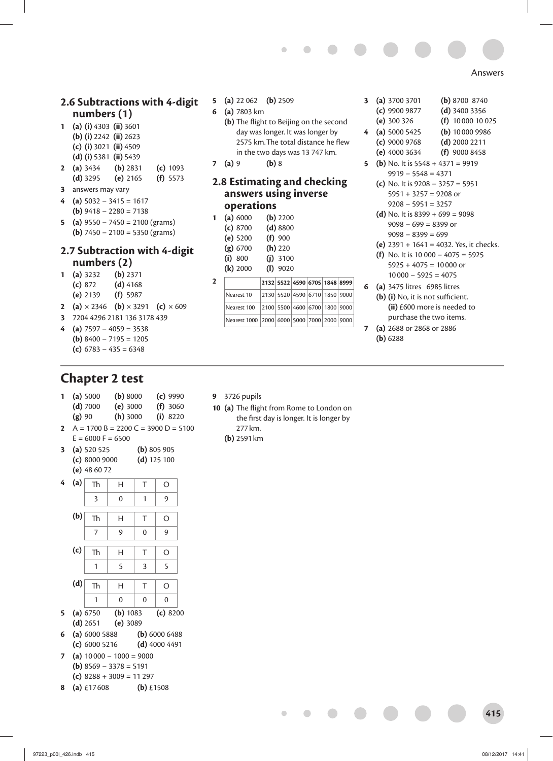#### **2.6 Subtractions with 4-digit numbers (1)**

- **1 (a) (i)** 4303 **(ii)** 3601 **(b) (i)** 2242 **(ii)** 2623
	- **(c) (i)** 3021 **(ii)** 4509
	- **(d) (i)** 5381 **(ii)** 5439
- **2 (a)** 3434 **(b)** 2831 **(c)** 1093 **(d)** 3295 **(e)** 2165 **(f)** 5573
- **3** answers may vary
- **4 (a)** 5032 − 3415 = 1617 **(b)** 9418 − 2280 = 7138
- **5 (a)** 9550 − 7450 = 2100 (grams) **(b)** 7450 − 2100 = 5350 (grams)

#### **2.7 Subtraction with 4-digit numbers (2)**

- **1 (a)** 3232 **(b)** 2371 **(c)** 872 **(d)** 4168 **(e)** 2139 **(f)** 5987
- **2** (a)  $\times$  2346 (b)  $\times$  3291 (c)  $\times$  609
- **3** 7204 4296 2181 136 3178 439  $(a)$  7597 – 4059 = 3538
- **(b)** 8400 − 7195 = 1205 **(c)** 6783 − 435 = 6348

# **Chapter 2 test**

- **1 (a)** 5000 **(b)** 8000 **(c)** 9990 **(d)** 7000 **(e)** 3000 **(f)** 3060 **(g)** 90 **(h)** 3000 **(i)** 8220
- **2**  $A = 1700 B = 2200 C = 3900 D = 5100$  $E = 6000$  F = 6500
- **3 (a)** 520 525 **(b)** 805 905 **(c)** 8000 9000 **(d)** 125 100 **(e)** 48 60 72



- **(d)** 2651 **(e)** 3089 **6 (a)** 6000 5888 **(b)** 6000 6488
- **(c)** 6000 5216 **(d)** 4000 4491 **7 (a)** 10 000 − 1000 = 9000
- **(b)** 8569 − 3378 = 5191
- **(c)** 8288 + 3009 = 11 297
- **8 (a)** £17 608 **(b)** £1508
- **5 (a)** 22 062 **(b)** 2509
- **6 (a)** 7803 km
	- **(b)** The flight to Beijing on the second day was longer. It was longer by 2575 km. The total distance he flew in the two days was 13 747 km.

Ċ

**7 (a)** 9 **(b)** 8

#### **2.8 Estimating and checking answers using inverse operations**

- **1 (a)** 6000 **(b)** 2200 **(c)** 8700 **(d)** 8800 **(e)** 5200 **(f)** 900 **(g)** 6700 **(h)** 220 **(i)** 800 **(j)** 3100 **(k)** 2000 **(l)** 9020
- **2 2132 5522 4590 6705 1848 8999** Nearest 10 2130 5520 4590 6710 1850 9000 Nearest 100 2100 5500 4600 6700 1800 9000 Nearest 1000 2000 6000 5000 7000 2000 9000
- **3 (a)** 3700 3701 **(b)** 8700 8740
	- **(c)** 9900 9877 **(d)** 3400 3356
	- **(e)** 300 326 **(f)** 10 000 10 025
- **4 (a)** 5000 5425 **(b)** 10 000 9986
	- **(c)** 9000 9768 **(d)** 2000 2211
	- **(e)** 4000 3634 **(f)** 9000 8458
- **5** (**b**) No. It is  $5548 + 4371 = 9919$ 9919 − 5548 = 4371
	- **(c)** No. It is 9208 − 3257 = 5951  $5951 + 3257 = 9208$  or 9208 − 5951 = 3257
		-
	- (d) No. It is  $8399 + 699 = 9098$ 9098 − 699 = 8399 or 9098 − 8399 = 699
	- **(e)** 2391 + 1641 = 4032. Yes, it checks.
	- **(f)** No. It is 10 000 − 4075 = 5925
	- $5925 + 4075 = 10000$  or 10 000 − 5925 = 4075
- **6 (a)** 3475 litres 6985 litres
	- **(b)** (i) No, it is not sufficient. **(ii)** £600 more is needed to purchase the two items.
- **7 (a)** 2688 or 2868 or 2886 **(b)** 6288

- **9** 3726 pupils
- 10 (a) The flight from Rome to London on the first day is longer. It is longer by 277 km.

**(b)** 2591 km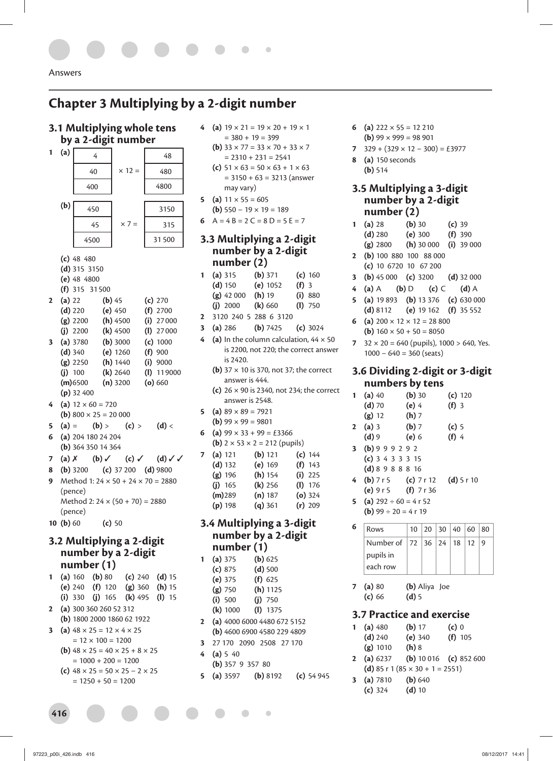# **Chapter 3 Multiplying by a 2-digit number**

#### **3.1 Multiplying whole tens by a 2-digit number**



|  |                                  | (c) 48 480           |
|--|----------------------------------|----------------------|
|  | $\lambda$ is $\lambda$ $\lambda$ | $\sim$ $\sim$ $\sim$ |

**(d)** 315 3150

**(e)** 48 4800

- 
- **(f)** 315 31 500
- **2 (a)** 22 **(b)** 45 **(c)** 270 **(d)** 220 **(e)** 450 **(f)** 2700 **(g)** 2200 **(h)** 4500 **(i)** 27 000
- **(j)** 2200 **(k)** 4500 **(l)** 27 000 **3 (a)** 3780 **(b)** 3000 **(c)** 1000
- **(d)** 340 **(e)** 1260 **(f)** 900 **(g)** 2250 **(h)** 1440 **(i)** 9000 **(j)** 100 **(k)** 2640 **(l)** 11 9000
- **(m)** 6500 **(n)** 3200 **(o)** 660 **(p)** 32 400
- **4** (a)  $12 \times 60 = 720$ **(b)**  $800 \times 25 = 20000$
- **5** (a) = (b) > (c) > (d) <
- **6 (a)** 204 180 24 204 **(b)** 364 350 14 364
- **7 (a)** ✗ **(b)** ✓ **(c)** ✓ **(d)** ✓ ✓
- **8 (b)** 3200 **(c)** 37 200 **(d)** 9800
- **9** Method 1: 24 × 50 + 24 × 70 = 2880 (pence) Method 2:  $24 \times (50 + 70) = 2880$ (pence)
- **10 (b)** 60 **(c)** 50

### **3.2 Multiplying a 2-digit number by a 2-digit number (1)**

| $\mathbf{1}$   |  | (a) $160$ (b) $80$                                     | $(c)$ 240 | $(d)$ 15 |  |
|----------------|--|--------------------------------------------------------|-----------|----------|--|
|                |  | (e) $240$ (f) $120$ (g) $360$ (h) $15$                 |           |          |  |
|                |  | (i) 330 (j) 165 (k) 495 (l) 15                         |           |          |  |
| $2^{\circ}$    |  | (a) 300 360 260 52 312                                 |           |          |  |
|                |  | (b) $180020001860621922$                               |           |          |  |
| 3 <sup>1</sup> |  | (a) $48 \times 25 = 12 \times 4 \times 25$             |           |          |  |
|                |  | $= 12 \times 100 = 1200$                               |           |          |  |
|                |  | <b>(b)</b> $48 \times 25 = 40 \times 25 + 8 \times 25$ |           |          |  |
|                |  | $= 1000 + 200 = 1200$                                  |           |          |  |
|                |  | (c) $48 \times 25 = 50 \times 25 - 2 \times 25$        |           |          |  |

 $= 1250 + 50 = 1200$ 

- **4** (a)  $19 \times 21 = 19 \times 20 + 19 \times 1$  $= 380 + 19 = 399$ 
	- **(b)**  $33 \times 77 = 33 \times 70 + 33 \times 7$  $= 2310 + 231 = 2541$ **(c)**  $51 \times 63 = 50 \times 63 + 1 \times 63$  $= 3150 + 63 = 3213$  (answer may vary)
- **5** (a)  $11 \times 55 = 605$
- **(b)** 550 − 19 × 19 = 189
- **6**  $A = 4B = 2C = 8D = 5E = 7$

#### **3.3 Multiplying a 2-digit number by a 2-digit number (2)**

- **1 (a)** 315 **(b)** 371 **(c)** 160 **(d)** 150 **(e)** 1052 **(f)** 3 **(g)** 42 000 **(h)** 19 **(i)** 880 **(j)** 2000 **(k)** 660 **(l)** 750
- **2** 3120 240 5 288 6 3120
- **3 (a)** 286 **(b)** 7425 **(c)** 3024
- (a) In the column calculation,  $44 \times 50$ is 2200, not 220; the correct answer is 2420.
	- **(b)** 37 × 10 is 370, not 37; the correct answer is 444.
	- **(c)** 26 × 90 is 2340, not 234; the correct answer is 2548.
- **5** (a)  $89 \times 89 = 7921$
- **(b)** 99  $\times$  99 = 9801
- **6** (a)  $99 \times 33 + 99 = \text{\textsterling}3366$ 
	- **(b)**  $2 \times 53 \times 2 = 212$  (pupils)

| 7 | (a) 121   | $(b)$ 121 | (c) 144   |
|---|-----------|-----------|-----------|
|   | (d) 132   | (e) 169   | $(f)$ 143 |
|   | $(g)$ 196 | (h) 154   | $(i)$ 225 |
|   | (i) 165   | $(k)$ 256 | (I) 176   |
|   | $(m)$ 289 | (n) 187   | $(o)$ 324 |
|   | $(p)$ 198 | $(q)$ 361 | $(r)$ 209 |

#### **3.4 Multiplying a 3-digit number by a 2-digit number (1)**

| 1            | $(b)$ 625<br>(a) 375          |
|--------------|-------------------------------|
|              | (c) 875<br>$(d)$ 500          |
|              | $(e)$ 375<br>(f) 625          |
|              | $(h)$ 1125<br>$(g)$ 750       |
|              | (i) 500<br>$(i)$ 750          |
|              | <b>(k)</b> 1000<br>$(I)$ 1375 |
| $\mathbf{2}$ | (a) $4000600044806725152$     |
|              | (b) $4600690045802294809$     |
| 3            | 27 170 2090 2508 27 170       |
| 4            | (a) 5 40                      |
|              |                               |

**(b)** 357 9 357 80 **5 (a)** 3597 **(b)** 8192 **(c)** 54 945

 $\blacksquare$ 

- **6** (a)  $222 \times 55 = 12210$ 
	- **(b)** 99  $\times$  999 = 98 901
- **7** 329 + (329 × 12 − 300) = £3977
- **8 (a)** 150 seconds **(b)** 514

#### **3.5 Multiplying a 3-digit number by a 2-digit number (2)**

- **1 (a)** 28 **(b)** 30 **(c)** 39 **(d)** 280 **(e)** 300 **(f)** 390 **(g)** 2800 **(h)** 30 000 **(i)** 39 000 **2 (b)** 100 880 100 88 000 **(c)** 10 6720 10 67 200 **3 (b)** 45 000 **(c)** 3200 **(d)** 32 000 **4 (a)** A **(b)** D **(c)** C **(d)** A **5 (a)** 19 893 **(b)** 13 376 **(c)** 630 000 **(d)** 8112 **(e)** 19 162 **(f)** 35 552 **6** (a)  $200 \times 12 \times 12 = 28800$
- **(b)**  $160 \times 50 + 50 = 8050$
- **7**  $32 \times 20 = 640$  (pupils), 1000 > 640, Yes. 1000 − 640 = 360 (seats)

#### **3.6 Dividing 2-digit or 3-digit numbers by tens**

| $\mathbf{1}$ | $(a)$ 40                               | $(b)$ 30 |    |    | $(c)$ 120 |    |    |
|--------------|----------------------------------------|----------|----|----|-----------|----|----|
|              | $(d)$ 70                               | $(e)$ 4  |    |    | $(f)$ 3   |    |    |
|              | $(g)$ 12                               | $(h)$ 7  |    |    |           |    |    |
| $\mathbf{2}$ | $(a)$ 3                                | $(b)$ 7  |    |    | (c) 5     |    |    |
|              | $(d)$ 9                                | (e) 6    |    |    | $(f)$ 4   |    |    |
| $\mathbf{3}$ | (b) 9 9 9 2 9 2                        |          |    |    |           |    |    |
|              | (c) $3433315$                          |          |    |    |           |    |    |
|              | $(d)$ 8 9 8 8 8 16                     |          |    |    |           |    |    |
| 4            | ( <b>b</b> ) 7 r 5 ( <b>c</b> ) 7 r 12 |          |    |    | (d) 5r 10 |    |    |
|              | (e) $9r5$ (f) $7r36$                   |          |    |    |           |    |    |
| 5            | (a) $292 \div 60 = 4 r 52$             |          |    |    |           |    |    |
|              | <b>(b)</b> 99 $\div$ 20 = 4 r 19       |          |    |    |           |    |    |
| 6            | Rows                                   | 10       | 20 | 30 | 40        | 60 | 80 |
|              |                                        |          |    |    |           |    |    |

| Rows                                   |  | 10 20 30 40 60 80 |  |  |
|----------------------------------------|--|-------------------|--|--|
| Number of   72   36   24   18   12   9 |  |                   |  |  |
| pupils in                              |  |                   |  |  |
| each row                               |  |                   |  |  |

**7 (a)** 80 **(b)** Aliya Joe **(c)** 66 **(d)** 5

#### **3.7 Practice and exercise**

| 1 (a) $480$ | $(b)$ 17 | $(c)$ 0   |
|-------------|----------|-----------|
| $(d)$ 240   | (e) 340  | $(f)$ 105 |
| $(g)$ 1010  | $(h)$ 8  |           |

- **2 (a)** 6237 **(b)** 10 016 **(c)** 852 600 **(d)** 85 r 1 (85  $\times$  30 + 1 = 2551)
- **3 (a)** 7810 **(b)** 640 **(c)** 324 **(d)** 10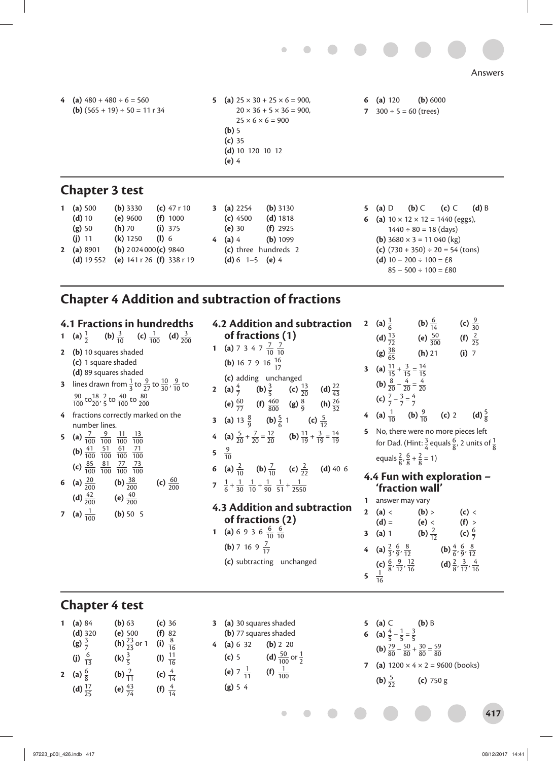

- **4** (a)  $480 + 480 \div 6 = 560$ **(b)**  $(565 + 19) \div 50 = 11 \text{ r } 34$
- **5** (a)  $25 \times 30 + 25 \times 6 = 900$ ,  $20 \times 36 + 5 \times 36 = 900,$  $25 \times 6 \times 6 = 900$ **(b)** 5 **(c)** 35 **(d)** 10 120 10 12 **(e)** 4
- **6 (a)** 120 **(b)** 6000 **7**  $300 \div 5 = 60$  (trees)

# **Chapter 3 test**

| 1 (a) $500$  | $(b)$ 3330                    | (c) $47r10$               | (a) $2254$              | $(b)$ 3130           | 5 (a) $D$                                            | $(b)$ C                    | $(c)$ C                               | $(d)$ B |
|--------------|-------------------------------|---------------------------|-------------------------|----------------------|------------------------------------------------------|----------------------------|---------------------------------------|---------|
| $(d)$ 10     | $(e)$ 9600                    | $(f)$ 1000                | $(c)$ 4500              | $(d)$ 1818           | <b>6</b> (a) $10 \times 12 \times 12 = 1440$ (eggs), |                            |                                       |         |
| (g) 50       | $(h)$ 70                      | $(i)$ 375                 | (e)30                   | $(f)$ 2925           |                                                      | $1440 \div 80 = 18$ (days) |                                       |         |
| $(i)$ 11     | $(k)$ 1250                    | $(I)$ 6                   | 4 (a) 4                 | $(b)$ 1099           | ( <b>b</b> ) $3680 \times 3 = 11040$ (kg)            |                            |                                       |         |
| 2 (a) $8901$ | ( <b>b</b> ) $2024000(c)9840$ |                           |                         | (c) three hundreds 2 |                                                      |                            | (c) $(730 + 350) \div 20 = 54$ (tons) |         |
| $(d)$ 19 552 |                               | (e) $141r26$ (f) $338r19$ | (d) $6 \t1 - 5 \t(e) 4$ |                      | (d) $10 - 200 \div 100 = \text{\pounds}8$            |                            |                                       |         |
|              |                               |                           |                         |                      |                                                      | $85 - 500 \div 100 = £80$  |                                       |         |

# **Chapter 4 Addition and subtraction of fractions**

| $\mathbf{1}$ | 4.1 Fractions in hundredths<br>(a) $\frac{1}{2}$ (b) $\frac{3}{10}$ (c) $\frac{1}{100}$ (d) $\frac{3}{200}$                                                                                                       |   | 4.2 Addi<br>of frac                                     |
|--------------|-------------------------------------------------------------------------------------------------------------------------------------------------------------------------------------------------------------------|---|---------------------------------------------------------|
| $\mathbf{2}$ | (b) 10 squares shaded                                                                                                                                                                                             |   | 1 (a) $734$                                             |
|              | (c) 1 square shaded                                                                                                                                                                                               |   | (b) $16 \, 7$                                           |
|              | (d) 89 squares shaded<br>3 lines drawn from $\frac{1}{3}$ to $\frac{9}{27}$ to $\frac{10}{30}$ , $\frac{9}{10}$ to<br>$\frac{90}{100}$ to $\frac{18}{20}$ , $\frac{2}{5}$ to $\frac{40}{100}$ to $\frac{80}{200}$ |   | (c) addin<br>2 (a) $\frac{4}{7}$<br>(e) $\frac{60}{77}$ |
| 4            | fractions correctly marked on the                                                                                                                                                                                 |   | <b>3</b> (a) 13 $\frac{8}{9}$                           |
|              | number lines.<br><b>5</b> (a) $\frac{7}{100}$ $\frac{9}{100}$ $\frac{11}{100}$ $\frac{13}{100}$                                                                                                                   |   | 4 (a) $\frac{5}{20} + \frac{1}{2}$                      |
|              | ( <b>b</b> ) $\frac{41}{100}$ $\frac{51}{100}$ $\frac{61}{100}$ $\frac{71}{100}$                                                                                                                                  |   | 5 $\frac{9}{10}$                                        |
|              | (c) $\frac{85}{100}$ $\frac{81}{100}$ $\frac{77}{100}$ $\frac{73}{100}$                                                                                                                                           |   | 6 (a) $\frac{2}{10}$                                    |
|              | 6 (a) $\frac{20}{200}$ (b) $\frac{38}{200}$<br>(c) $\frac{60}{200}$                                                                                                                                               |   | 7 $\frac{1}{6} + \frac{1}{30} + \frac{1}{10}$           |
|              | (d) $\frac{42}{200}$ (e) $\frac{40}{200}$                                                                                                                                                                         |   |                                                         |
|              | <b>7</b> (a) $\frac{1}{100}$ (b) 50 5                                                                                                                                                                             |   | 4.3 Addi<br>of frac                                     |
|              |                                                                                                                                                                                                                   | 1 | (a) 6 9 3                                               |
|              |                                                                                                                                                                                                                   |   | (b) 7 16                                                |
|              |                                                                                                                                                                                                                   |   |                                                         |

| 4.2 Addition and subtraction                                                                                         |  |  |  |  |  |
|----------------------------------------------------------------------------------------------------------------------|--|--|--|--|--|
| of fractions (1)                                                                                                     |  |  |  |  |  |
| 1 (a) 7 3 4 7 $\frac{7}{10}$ $\frac{7}{10}$                                                                          |  |  |  |  |  |
| ( <b>b</b> ) 16 7 9 16 $\frac{16}{17}$                                                                               |  |  |  |  |  |
| (c) adding unchanged                                                                                                 |  |  |  |  |  |
| 2 (a) $\frac{4}{7}$ (b) $\frac{3}{5}$ (c) $\frac{13}{20}$ (d) $\frac{22}{43}$                                        |  |  |  |  |  |
| (e) $\frac{60}{77}$ (f) $\frac{460}{800}$ (g) $\frac{8}{9}$ (h) $\frac{26}{32}$                                      |  |  |  |  |  |
| <b>3</b> (a) 13 $\frac{8}{9}$ (b) $\frac{5}{6}$ 1 (c) $\frac{5}{12}$                                                 |  |  |  |  |  |
| 4 <b>(a)</b> $\frac{5}{20} + \frac{7}{20} = \frac{12}{20}$ <b>(b)</b> $\frac{11}{19} + \frac{3}{19} = \frac{14}{19}$ |  |  |  |  |  |
| 5 $\frac{9}{10}$                                                                                                     |  |  |  |  |  |
| <b>6</b> (a) $\frac{2}{10}$ (b) $\frac{7}{10}$ (c) $\frac{2}{22}$ (d) 40 6                                           |  |  |  |  |  |
| 7 $\frac{1}{6} + \frac{1}{30} + \frac{1}{10} + \frac{1}{90} + \frac{1}{51} + \frac{1}{2550}$                         |  |  |  |  |  |
| 4.3 Addition and subtraction                                                                                         |  |  |  |  |  |
| of fractions (2)                                                                                                     |  |  |  |  |  |
| 1 (a) 6 9 3 6 $\frac{6}{10}$ $\frac{6}{10}$                                                                          |  |  |  |  |  |
| ( <b>b</b> ) 7 16 9 $\frac{7}{17}$                                                                                   |  |  |  |  |  |

**(c)** subtracting unchanged

|              | 2 (a) $\frac{1}{6}$                                                           | (b) $\frac{6}{14}$   |                                                    | (c) $\frac{9}{30}$ |                   |
|--------------|-------------------------------------------------------------------------------|----------------------|----------------------------------------------------|--------------------|-------------------|
|              | (d) $\frac{13}{72}$                                                           | (e) $\frac{50}{300}$ |                                                    | (f) $\frac{2}{25}$ |                   |
|              |                                                                               |                      |                                                    |                    |                   |
|              | (g) $\frac{38}{65}$                                                           | $(h)$ 21             |                                                    | $(i)$ 7            |                   |
|              | <b>3</b> (a) $\frac{11}{15} + \frac{3}{15} = \frac{14}{15}$                   |                      |                                                    |                    |                   |
|              | <b>(b)</b> $\frac{8}{20} - \frac{4}{20} = \frac{4}{20}$                       |                      |                                                    |                    |                   |
|              | (c) $\frac{7}{7} - \frac{3}{7} = \frac{4}{7}$                                 |                      |                                                    |                    |                   |
|              | 4 (a) $\frac{1}{10}$ (b) $\frac{9}{10}$ (c) 2                                 |                      |                                                    |                    | (d) $\frac{5}{8}$ |
| 5            | No, there were no more pieces left                                            |                      |                                                    |                    |                   |
|              | for Dad. (Hint: $\frac{3}{4}$ equals $\frac{6}{8}$ , 2 units of $\frac{1}{8}$ |                      |                                                    |                    |                   |
|              |                                                                               |                      |                                                    |                    |                   |
|              | equals $\frac{2}{8}$ , $\frac{6}{8} + \frac{2}{8} = 1$ )                      |                      |                                                    |                    |                   |
|              | 4.4 Fun with exploration -                                                    |                      |                                                    |                    |                   |
|              | 'fraction wall'                                                               |                      |                                                    |                    |                   |
| 1            | answer may vary                                                               |                      |                                                    |                    |                   |
| $\mathbf{2}$ | (a)                                                                           | (b)                  |                                                    | (c) <              |                   |
|              | $(d) =$                                                                       | (e) <                |                                                    | $(f)$ >            |                   |
|              | 3 (a) $1$                                                                     | (b) $\frac{2}{12}$   |                                                    | (c) $\frac{6}{7}$  |                   |
|              |                                                                               |                      |                                                    |                    |                   |
| 4            | (a) $\frac{2}{3}$ , $\frac{6}{9}$ , $\frac{8}{12}$                            |                      | (b) $\frac{4}{6}$ , $\frac{6}{9}$ , $\frac{8}{12}$ |                    |                   |
|              | (c) $\frac{6}{8}, \frac{9}{12}, \frac{12}{16}$                                |                      | (d) $\frac{2}{8}, \frac{3}{12}, \frac{4}{16}$      |                    |                   |
| 5            | $\frac{1}{16}$                                                                |                      |                                                    |                    |                   |

# **Chapter 4 test**

|             | (a) 84                       | ( <b>b</b> ) 63                   | (c)36               |
|-------------|------------------------------|-----------------------------------|---------------------|
|             |                              | (e) 500                           | (f) 82              |
|             | (d) 320<br>(g) $\frac{3}{7}$ | ( <b>h</b> ) $\frac{23}{23}$ or 1 | (i) $\frac{8}{16}$  |
|             | (j) $\frac{6}{13}$           | (k) $\frac{3}{5}$                 | (I) $\frac{11}{16}$ |
| $\mathbf 2$ | (a) $\frac{6}{8}$            | (b) $\frac{2}{11}$                | (c) $\frac{4}{14}$  |
|             | (d) $\frac{17}{25}$          | (e) $\frac{43}{74}$               | (f) $\frac{4}{14}$  |

| 3. |                       | (a) 30 squares shaded                          |  |  |  |  |
|----|-----------------------|------------------------------------------------|--|--|--|--|
|    | (b) 77 squares shaded |                                                |  |  |  |  |
| 4  | (a) 6 32              | (b) 2 20                                       |  |  |  |  |
|    | $(c)$ 5               | ( <b>d</b> ) $\frac{50}{100}$ or $\frac{1}{2}$ |  |  |  |  |
|    | (e) 7 $\frac{1}{11}$  | (f) $\frac{1}{100}$                            |  |  |  |  |
|    | (g) 5 4               |                                                |  |  |  |  |

 $\begin{array}{c} \begin{array}{c} \begin{array}{c} \begin{array}{c} \end{array} \end{array} \end{array} \end{array} \end{array}$ 

O

**5 (a)** C **(b)** B **6** (a)  $\frac{4}{5} - \frac{1}{5} = \frac{3}{5}$ **(b)**  $\frac{79}{80} - \frac{50}{80} + \frac{30}{80} = \frac{59}{80}$ **7** (a)  $1200 \times 4 \times 2 = 9600$  (books) **(b)**  $\frac{5}{22}$ <sup>22</sup> **(c)** 750 g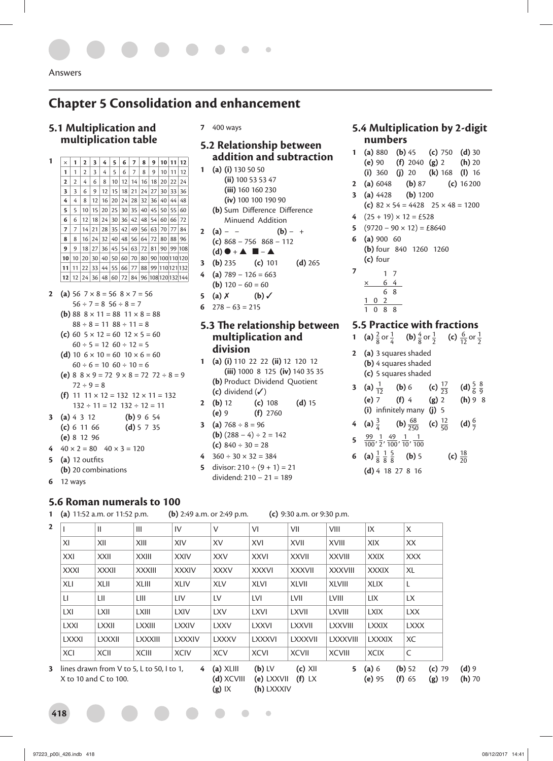# **Chapter 5 Consolidation and enhancement**

#### **5.1 Multiplication and multiplication table**

- **1** × **1 2 3 4 5 6 7 8 9 10 11 12 1** 1 2 3 4 5 6 7 8 9 10 11 12<br>**2** 2 4 6 8 10 12 14 16 18 20 22 24 **2** 4 **6 8 10 12 14 16 18 20 22 24 3** 3 6 9 12 15 18 21 24 27 30 33 36 **4** 4 8 12 16 20 24 28 32 36 40 44 48 **5** | 5 | 10 | 15 | 20 | 25 | 30 | 35 | 40 | 45 | 50 | 55 | 60 **6** 6 12 18 24 30 36 42 48 54 60 66 72 **7** 7 14 21 28 35 42 49 56 63 70 77 84 **8** 8 16 24 32 40 48 56 64 72 80 88 96 **9** 9 18 27 36 45 54 63 72 81 90 99 108 **10** 10 20 30 40 50 60 70 80 90 100110120 **11** 11 22 33 44 55 66 77 88 99 110121132 **12** 12 24 36 48 60 72 84 96 108120132144
- **2** (a) 56  $7 \times 8 = 56$   $8 \times 7 = 56$  $56 \div 7 = 8$  56  $\div 8 = 7$ 
	- **(b)** 88  $8 \times 11 = 88$   $11 \times 8 = 88$
	- $88 \div 8 = 11$   $88 \div 11 = 8$ **(c)** 60  $5 \times 12 = 60$   $12 \times 5 = 60$
	- $60 \div 5 = 12 \cdot 60 \div 12 = 5$ **(d)** 10  $6 \times 10 = 60$  10  $\times 6 = 60$
	- $60 \div 6 = 10 \ 60 \div 10 = 6$ (e)  $8 \times 9 = 72$   $9 \times 8 = 72$   $72 \div 8 = 9$
	- $72 \div 9 = 8$ **(f)** 11  $11 \times 12 = 132$   $12 \times 11 = 132$
	- $132 \div 11 = 12$   $132 \div 12 = 11$
- **3 (a)** 4 3 12 **(b)** 9 6 54 **(c)** 6 11 66 **(d)** 5 7 35 **(e)** 8 12 96
- 4  $40 \times 2 = 80$   $40 \times 3 = 120$
- **5** (a) 12 outfits
- **(b)** 20 combinations
- **6** 12 ways

**7** 400 ways

#### **5.2 Relationship between addition and subtraction**

- **1 (a) (i)** 130 50 50 **(ii)** 100 53 53 47 **(iii)** 160 160 230 **(iv)** 100 100 190 90 (b) Sum Difference Difference Minuend Addition
- **2** (a) − − (b) − + **(c)** 868 − 756 868 − 112 **(d)** ● + ▲ ■ − ▲
- **3 (b)** 235 **(c)** 101 **(d)** 265  $(a)$  789 – 126 = 663
- **(b)**  $120 60 = 60$
- **5** (a)  $X$  (b)  $\checkmark$
- **6** 278 − 63 = 215

#### **5.3 The relationship between multiplication and division**

- **1 (a) (i)** 110 22 22 **(ii)** 12 120 12 **(iii)** 1000 8 125 **(iv)** 140 35 35 **(b)** Product Dividend Quotient **(c)** dividend (✓)
- **2 (b)** 12 **(c)** 108 **(d)** 15 **(e)** 9 **(f)** 2760
- **3** (a)  $768 \div 8 = 96$ **(b)**  $(288 - 4) \div 2 = 142$ **(c)** 840 ÷ 30 = 28
- **4** 360 ÷ 30 × 32 = 384
- **5** divisor:  $210 \div (9 + 1) = 21$ dividend: 210 − 21 = 189

#### **5.4 Multiplication by 2-digit numbers**

**1 (a)** 880 **(b)** 45 **(c)** 750 **(d)** 30 **(e)** 90 **(f)** 2040 **(g)** 2 **(h)** 20 **(i)** 360 **(j)** 20 **(k)** 168 **(l)** 16 **2 (a)** 6048 **(b)** 87 **(c)** 16 200 **3 (a)** 4428 **(b)** 1200 **(c)**  $82 \times 54 = 4428$   $25 \times 48 = 1200$ **4**  $(25 + 19) \times 12 = \text{\textsterling}528$ **5**  $(9720 - 90 \times 12) = \text{\pounds}8640$ **6 (a)** 900 60 **(b)** four 840 1260 1260 **(c)** four **7** 1 7 × 64

## **5.5 Practice with fractions**

- **1** (a)  $\frac{2}{8}$  or  $\frac{1}{4}$  (b)  $\frac{4}{8}$  or  $\frac{1}{2}$  (c)  $\frac{6}{12}$  or  $\frac{1}{2}$
- **2 (a)** 3 squares shaded **(b)** 4 squares shaded **(c)** 5 squares shaded

6 8 102 1088

**3** (a)  $\frac{1}{12}$ (a)  $\frac{1}{12}$  (b) 6 (c)  $\frac{17}{23}$ <br>(e) 7 (f) 4 (g) 2  $rac{17}{23}$  **(d)**  $rac{5}{6}$   $rac{8}{9}$ **(e)** 7 **(f)** 4 **(g)** 2 **(h)** 9 8 **(i)** infinitely many **(j)** 5

4 (a) 
$$
\frac{3}{4}
$$
 (b)  $\frac{68}{250}$  (c)  $\frac{12}{50}$  (d)  $\frac{6}{7}$ 

- **5**  $\frac{99}{100}$ ,  $\frac{1}{2}$ ,  $\frac{49}{100}$ ,  $\frac{1}{10}$ ,  $\frac{1}{100}$
- **6** (a)  $\frac{1}{8}$   $\frac{1}{8}$   $\frac{5}{8}$  $\frac{5}{8}$  (**b**) 5 (**c**)  $\frac{18}{20}$ **(d)** 4 18 27 8 16

#### **5.6 Roman numerals to 100**

**1 (a)** 11:52 a.m. or 11:52 p.m. **(b)** 2:49 a.m. or 2:49 p.m. **(c)** 9:30 a.m. or 9:30 p.m.

|              | Ш             | Ш             | IV           | V            | VI           | VII            | VIII            | IX            | X           |
|--------------|---------------|---------------|--------------|--------------|--------------|----------------|-----------------|---------------|-------------|
| XI           | XII           | XIII          | XIV          | XV           | XVI          | XVII           | <b>XVIII</b>    | XIX           | XX          |
| XXI          | <b>XXII</b>   | <b>XXIII</b>  | <b>XXIV</b>  | <b>XXV</b>   | <b>XXVI</b>  | <b>XXVII</b>   | <b>XXVIII</b>   | <b>XXIX</b>   | <b>XXX</b>  |
| <b>XXXI</b>  | <b>XXXII</b>  | <b>XXXIII</b> | <b>XXXIV</b> | <b>XXXV</b>  | <b>XXXVI</b> | <b>XXXVII</b>  | <b>XXXVIII</b>  | <b>XXXIX</b>  | XL          |
| XLI          | <b>XLII</b>   | <b>XLIII</b>  | <b>XLIV</b>  | <b>XLV</b>   | <b>XLVI</b>  | <b>XLVII</b>   | <b>XLVIII</b>   | <b>XLIX</b>   | L           |
| LI           | LII           | LIII          | LIV          | LV.          | LVI          | LVII           | <b>LVIII</b>    | <b>LIX</b>    | LX          |
| LXI          | LXII          | LXIII         | LXIV         | <b>LXV</b>   | <b>LXVI</b>  | LXVII          | <b>LXVIII</b>   | <b>LXIX</b>   | <b>LXX</b>  |
| <b>LXXI</b>  | <b>LXXII</b>  | <b>LXXIII</b> | <b>LXXIV</b> | <b>LXXV</b>  | <b>LXXVI</b> | <b>LXXVII</b>  | <b>LXXVIII</b>  | <b>LXXIX</b>  | <b>LXXX</b> |
| <b>LXXXI</b> | <b>LXXXII</b> | LXXXIII       | LXXXIV       | <b>LXXXV</b> | LXXXVI       | <b>LXXXVII</b> | <b>LXXXVIII</b> | <b>LXXXIX</b> | XC          |
| XCI          | <b>XCII</b>   | <b>XCIII</b>  | <b>XCIV</b>  | <b>XCV</b>   | <b>XCVI</b>  | <b>XCVII</b>   | <b>XCVIII</b>   | <b>XCIX</b>   | C           |

X to 10 and C to 100.

**418**

**(d)** XCVIII **(e)** LXXVII **(f)** LX **(g)** IX **(h)** LXXXIV

 $\bigcap$  $\triangle$ 

**(e)** 95 **(f)** 65 **(g)** 19 **(h)** 70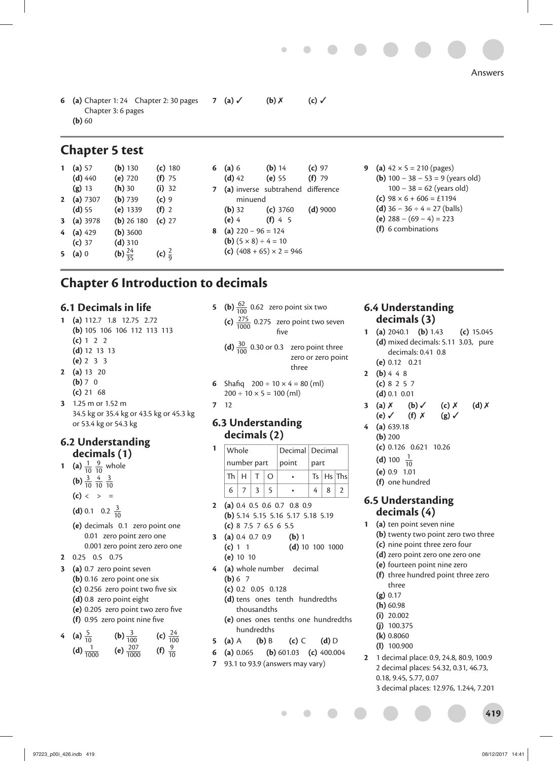**6 (a)** Chapter 1: 24 Chapter 2: 30 pages Chapter 3: 6 pages **(b)** 60 **7 (a)** ✓ **(b)** ✗ **(c)** ✓

# **Chapter 5 test**

| (a) 57    | (b) 130             | (c) 180           |
|-----------|---------------------|-------------------|
| $(d)$ 440 | (e) 720             | $(f)$ 75          |
| $(g)$ 13  | $(h)$ 30            | $(i)$ 32          |
| (a) 7307  | (b) 739             | $(c)$ 9           |
| (d) 55    | (e) 1339            | $(f)$ 2           |
| (a) 3978  | $(b)$ 26 180        | (c) 27            |
| $(a)$ 429 | $(b)$ 3600          |                   |
| $(c)$ 37  | $(d)$ 310           |                   |
| $(a)$ 0   | (b) $\frac{24}{35}$ | (c) $\frac{2}{9}$ |
|           |                     |                   |

| 6 | (a) 6    |                                         | (b) 14                            | $(c)$ 97   |
|---|----------|-----------------------------------------|-----------------------------------|------------|
|   | $(d)$ 42 |                                         | $(e)$ 55                          | $(f)$ 79   |
| 7 |          |                                         | (a) inverse subtrahend difference |            |
|   |          | minuend                                 |                                   |            |
|   |          | ( <b>b</b> ) 32                         | $(c)$ 3760                        | $(d)$ 9000 |
|   | $(e)$ 4  |                                         | (f) 4 5                           |            |
| 8 |          | (a) $220 - 96 = 124$                    |                                   |            |
|   |          | ( <b>b</b> ) $(5 \times 8) \div 4 = 10$ |                                   |            |
|   |          |                                         | (c) $(408 + 65) \times 2 = 946$   |            |

**9** (a)  $42 \times 5 = 210$  (pages) **(b)** 100 − 38 − 53 = 9 (years old) 100 − 38 = 62 (years old) **(c)**  $98 \times 6 + 606 = \text{\textsterling}1194$ **(d)** 36 − 36 ÷ 4 = 27 (balls) **(e)** 288 − (69 − 4) = 223 **(f)** 6 combinations

# **Chapter 6 Introduction to decimals**

#### **6.1 Decimals in life**

- **1 (a)** 112.7 1.8 12.75 2.72 **(b)** 105 106 106 112 113 113 **(c)** 1 2 2 **(d)** 12 13 13 **(e)** 2 3 3
- **2 (a)** 13 20 **(b)** 7 0
	- **(c)** 21 68
- **3** 1.25 m or 1.52 m 34.5 kg or 35.4 kg or 43.5 kg or 45.3 kg or 53.4 kg or 54.3 kg

#### **6.2 Understanding decimals (1)**

- **1** (a)  $\frac{1}{10}$   $\frac{9}{10}$  whole **(b)**  $\frac{3}{10}$   $\frac{4}{10}$   $\frac{3}{10}$ 
	- $(c) < > =$
	- **(d)** 0.1 0.2  $\frac{3}{10}$
	- **(e)** decimals 0.1 zero point one
	- 0.01 zero point zero one 0.001 zero point zero zero one
- **2** 0.25 0.5 0.75
- **3 (a)** 0.7 zero point seven **(b)** 0.16 zero point one six
	- (c) 0.256 zero point two five six
	- **(d)** 0.8 zero point eight
	- **(e)** 0.205 zero point two zero five
	- (f) 0.95 zero point nine five



- **5 (b)**  $\frac{62}{100}$  0.62 zero point six two **(c)**  $\frac{275}{1000}$  0.275 zero point two seven five
	- **(d)**  $\frac{30}{100}$  0.30 or 0.3 zero point three zero or zero point three
- **6** Shafig  $200 \div 10 \times 4 = 80$  (ml)  $200 \div 10 \times 5 = 100$  (ml)
- **7** 12

#### **6.3 Understanding decimals (2)**

|   | Whole       |  |       | Decimal   Decimal |                |                 |
|---|-------------|--|-------|-------------------|----------------|-----------------|
|   | number part |  | point | part              |                |                 |
|   | ThHITO      |  |       |                   |                | $Ts$ $Hs$ $Ths$ |
| 6 | $7 \mid 3$  |  |       |                   | 8 <sup>1</sup> |                 |

- **2 (a)** 0.4 0.5 0.6 0.7 0.8 0.9 **(b)** 5.14 5.15 5.16 5.17 5.18 5.19 **(c)** 8 7.5 7 6.5 6 5.5
- **3 (a)** 0.4 0.7 0.9 **(b)** 1 **(c)** 1 1 **(d)** 10 100 1000 **(e)** 10 10
- **4 (a)** whole number decimal **(b)** 6 7
	- **(c)** 0.2 0.05 0.128
	- **(d)** tens ones tenth hundredths thousandths
	- **(e)** ones ones tenths one hundredths hundredths
- **5 (a)** A **(b)** B **(c)** C **(d)** D
- **6 (a)** 0.065 **(b)** 601.03 **(c)** 400.004
- **7** 93.1 to 93.9 (answers may vary)

#### **6.4 Understanding decimals (3)**

- **1 (a)** 2040.1 **(b)** 1.43 **(c)** 15.045 **(d)** mixed decimals: 5.11 3.03, pure decimals: 0.41 0.8 **(e)** 0.12 0.21
- **2 (b)** 4 4 8
	- **(c)** 8 2 5 7
	- **(d)** 0.1 0.01
- **3 (a)** ✗ **(b)** ✓ **(c)** ✗ **(d)** ✗ **(e)** ✓ **(f)** ✗ **(g)** ✓
- **4 (a)** 639.18 **(b)** 200
	- **(c)** 0.126 0.621 10.26
	- **(d)** 100  $\frac{1}{10}$
	- **(e)** 0.9 1.01
	- **(f)** one hundred

#### **6.5 Understanding decimals (4)**

- **1 (a)** ten point seven nine **(b)** twenty two point zero two three
	- **(c)** nine point three zero four
	- **(d)** zero point zero one zero one
	- **(e)** fourteen point nine zero
	- **(f)** three hundred point three zero three
	- **(g)** 0.17
	- **(h)** 60.98
	- **(i)** 20.002
	- **(j)** 100.375
	- **(k)** 0.8060
	- **(l)** 100.900
- **2** 1 decimal place: 0.9, 24.8, 80.9, 100.9 2 decimal places: 54.32, 0.31, 46.73, 0.18, 9.45, 5.77, 0.07 3 decimal places: 12.976, 1.244, 7.201